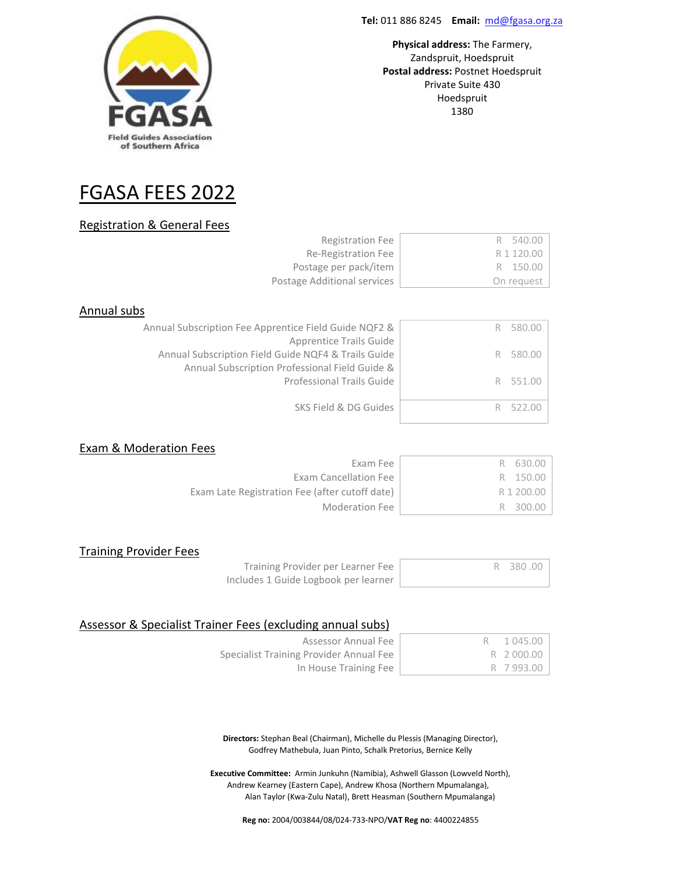

**Physical address:** The Farmery, .<br>Zandspruit, Hoedspruit Postal address: Postnet Hoedspruit Private Suite 430 **Postal and Suite 11**  $1380$ Fontainbleau

# FGASA FEES 2022

## Registration & General Fees

| <b>Registration Fee</b>     | R 540.00   |
|-----------------------------|------------|
| Re-Registration Fee         | R 1 120.00 |
| Postage per pack/item       | R 150.00   |
| Postage Additional services | On request |

## Annual subs

| Annual Subscription Fee Apprentice Field Guide NQF2 & | R 580.00 |
|-------------------------------------------------------|----------|
| Apprentice Trails Guide                               |          |
| Annual Subscription Field Guide NQF4 & Trails Guide   | R 580.00 |
| Annual Subscription Professional Field Guide &        |          |
| <b>Professional Trails Guide</b>                      | R 551.00 |
|                                                       |          |
| SKS Field & DG Guides                                 |          |
|                                                       |          |

#### Exam & Moderation Fees

| Exam Fee                                       | R 630.00   |
|------------------------------------------------|------------|
| Exam Cancellation Fee                          | R 150.00   |
| Exam Late Registration Fee (after cutoff date) | R 1 200.00 |
| Moderation Fee                                 | R 300.00   |

## Training Provider Fees

Training Provider per Learner Fee Includes 1 Guide Logbook per learner

|  | ı | J<br>1 |
|--|---|--------|
|  |   |        |

## Assessor & Specialist Trainer Fees (excluding annual subs)

| Assessor Annual Fee                     | 1 045.00  |
|-----------------------------------------|-----------|
| Specialist Training Provider Annual Fee | R 2000.00 |
| In House Training Fee                   | R 7993.00 |

**Directors:** Stephan Beal (Chairman), Michelle du Plessis (Managing Director), Godfrey Mathebula, Juan Pinto, Schalk Pretorius, Bernice Kelly

**Executive Committee:** Armin Junkuhn (Namibia), Ashwell Glasson (Lowveld North), Andrew Kearney (Eastern Cape), Andrew Khosa (Northern Mpumalanga), Alan Taylor (Kwa-Zulu Natal), Brett Heasman (Southern Mpumalanga)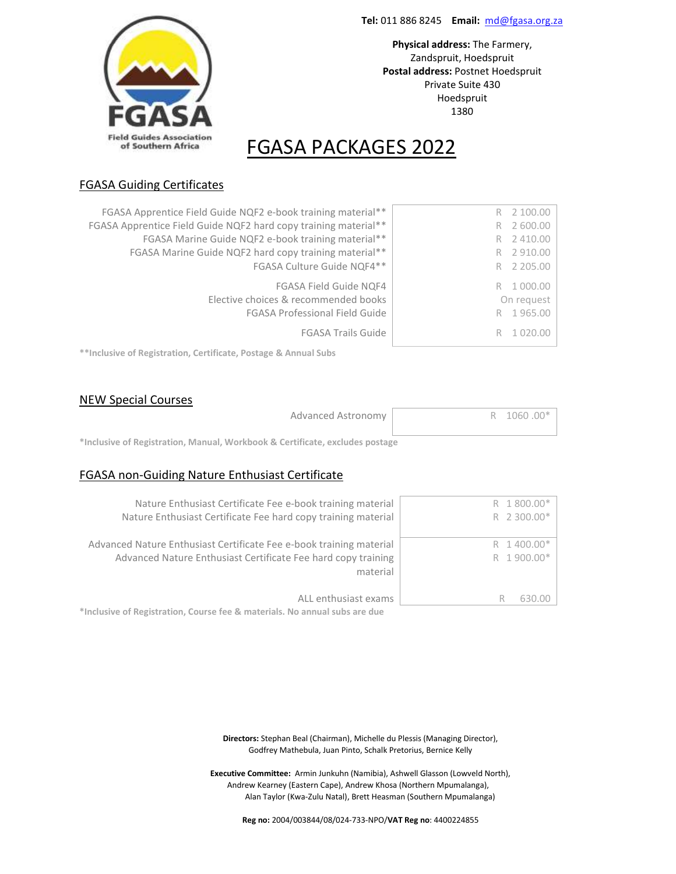**Physical address:** The Farmery, .<br>Zandspruit, Hoedspruit Postal address: Postnet Hoedspruit Private Suite 430 **Postal and Suite 11**  $1380$ Fontainbleau



# FGASA PACKAGES 2022

## FGASA Guiding Certificates

| FGASA Apprentice Field Guide NQF2 e-book training material**<br>FGASA Apprentice Field Guide NQF2 hard copy training material**<br>FGASA Marine Guide NQF2 e-book training material**<br>FGASA Marine Guide NQF2 hard copy training material**<br>FGASA Culture Guide NQF4** | R 2100.00<br>2 600.00<br>R<br>2 410.00<br>R<br>2 910.00<br>R<br>R 2 205.00 |
|------------------------------------------------------------------------------------------------------------------------------------------------------------------------------------------------------------------------------------------------------------------------------|----------------------------------------------------------------------------|
| FGASA Field Guide NQF4<br>Elective choices & recommended books<br><b>FGASA Professional Field Guide</b><br><b>FGASA Trails Guide</b>                                                                                                                                         | 1 000.00<br>R<br>On request<br>R 1965.00<br>R                              |

**\*\*Inclusive of Registration, Certificate, Postage & Annual Subs**

## NEW Special Courses

| Advanced Astronomy | R 1060.00* |
|--------------------|------------|
|                    |            |

**\*Inclusive of Registration, Manual, Workbook & Certificate, excludes postage**

## FGASA non-Guiding Nature Enthusiast Certificate

| Nature Enthusiast Certificate Fee e-book training material                 | R 1800.00*  |
|----------------------------------------------------------------------------|-------------|
| Nature Enthusiast Certificate Fee hard copy training material              | R 2 300.00* |
|                                                                            |             |
| Advanced Nature Enthusiast Certificate Fee e-book training material        | R 1400.00*  |
| Advanced Nature Enthusiast Certificate Fee hard copy training              | R 1900.00*  |
| material                                                                   |             |
|                                                                            |             |
| ALL enthusiast exams                                                       | 630.00<br>ĸ |
| *Inclusive of Registration, Course fee & materials. No annual subs are due |             |

**Directors:** Stephan Beal (Chairman), Michelle du Plessis (Managing Director), Godfrey Mathebula, Juan Pinto, Schalk Pretorius, Bernice Kelly

**Executive Committee:** Armin Junkuhn (Namibia), Ashwell Glasson (Lowveld North), Andrew Kearney (Eastern Cape), Andrew Khosa (Northern Mpumalanga), Alan Taylor (Kwa-Zulu Natal), Brett Heasman (Southern Mpumalanga)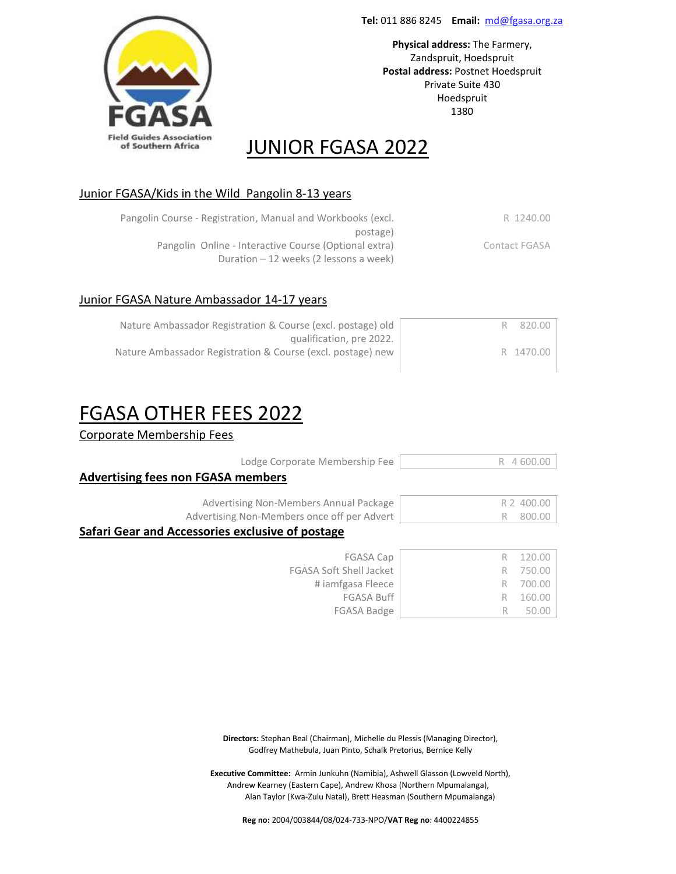**Physical address:** The Farmery, .<br>Zandspruit, Hoedspruit Postal address: Postnet Hoedspruit Private Suite 430 **Postal and Suite 11**  $1380$ Fontainbleau



## JUNIOR FGASA 2022

## Junior FGASA/Kids in the Wild Pangolin 8-13 years

| Pangolin Course - Registration, Manual and Workbooks (excl. | R 1240.00     |
|-------------------------------------------------------------|---------------|
| postage)                                                    |               |
| Pangolin Online - Interactive Course (Optional extra)       | Contact FGASA |
| Duration $-12$ weeks (2 lessons a week)                     |               |

## Junior FGASA Nature Ambassador 14-17 years

| Nature Ambassador Registration & Course (excl. postage) old | 820.00    |
|-------------------------------------------------------------|-----------|
| qualification, pre 2022.                                    |           |
| Nature Ambassador Registration & Course (excl. postage) new | R 1470.00 |

# FGASA OTHER FEES 2022

Corporate Membership Fees

| Lodge Corporate Membership Fee                   | 600<br>R<br>4 |  |
|--------------------------------------------------|---------------|--|
| <b>Advertising fees non FGASA members</b>        |               |  |
| Advertising Non-Members Annual Package           | 400.00        |  |
| Advertising Non-Members once off per Advert      | 800.00<br>К   |  |
| Safari Gear and Accessories exclusive of postage |               |  |
| <b>FGASA Cap</b>                                 | 120.00        |  |
| <b>FGASA Soft Shell Jacket</b>                   | 750.00        |  |
| # jamfgasa Fleece                                | 700.00        |  |
| <b>FGASA Buff</b>                                | 160.          |  |

**Directors:** Stephan Beal (Chairman), Michelle du Plessis (Managing Director), Godfrey Mathebula, Juan Pinto, Schalk Pretorius, Bernice Kelly

FGASA Badge R 50.00

**Executive Committee:** Armin Junkuhn (Namibia), Ashwell Glasson (Lowveld North), Andrew Kearney (Eastern Cape), Andrew Khosa (Northern Mpumalanga), Alan Taylor (Kwa-Zulu Natal), Brett Heasman (Southern Mpumalanga)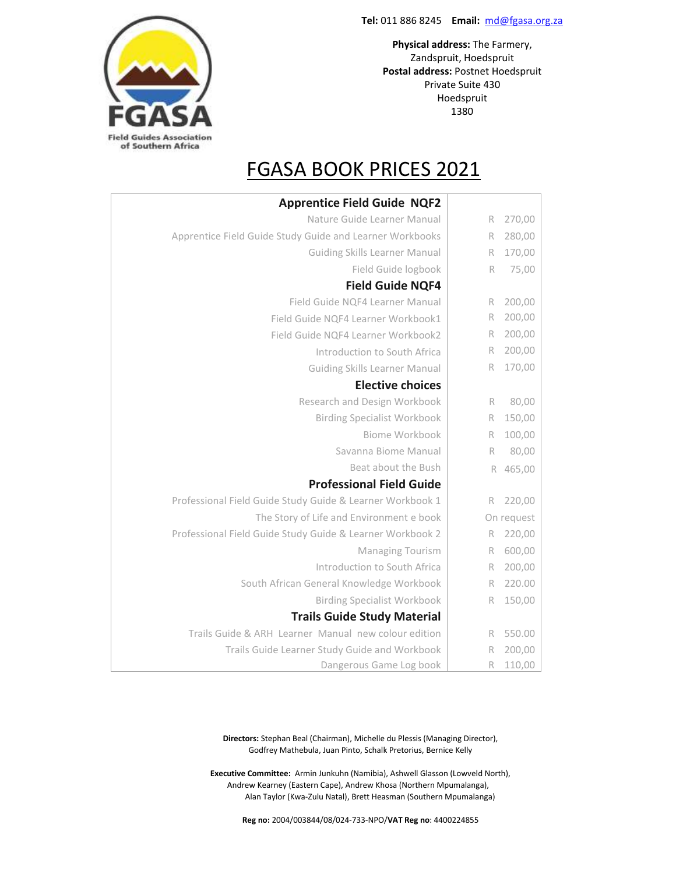**Physical address:** The Farmery, .<br>Zandspruit, Hoedspruit Postal address: Postnet Hoedspruit 2194 Private Suite 430  $1380$ Fontainbleau Hoedspruit



# FGASA BOOK PRICES 2021

|            |   | <b>Apprentice Field Guide NQF2</b>                        |
|------------|---|-----------------------------------------------------------|
| 270,00     | R | Nature Guide Learner Manual                               |
| 280,00     | R | Apprentice Field Guide Study Guide and Learner Workbooks  |
| 170,00     | R | <b>Guiding Skills Learner Manual</b>                      |
| 75,00      | R | Field Guide logbook                                       |
|            |   | <b>Field Guide NQF4</b>                                   |
| 200,00     | R | Field Guide NQF4 Learner Manual                           |
| 200,00     | R | Field Guide NQF4 Learner Workbook1                        |
| 200,00     | R | Field Guide NQF4 Learner Workbook2                        |
| 200,00     | R | Introduction to South Africa                              |
| 170,00     | R | <b>Guiding Skills Learner Manual</b>                      |
|            |   | <b>Elective choices</b>                                   |
| 80,00      | R | Research and Design Workbook                              |
| 150,00     | R | <b>Birding Specialist Workbook</b>                        |
| 100,00     | R | Biome Workbook                                            |
| 80,00      | R | Savanna Biome Manual                                      |
| 465,00     | R | Beat about the Bush                                       |
|            |   | <b>Professional Field Guide</b>                           |
| 220,00     | R | Professional Field Guide Study Guide & Learner Workbook 1 |
| On request |   | The Story of Life and Environment e book                  |
| 220,00     | R | Professional Field Guide Study Guide & Learner Workbook 2 |
| 600,00     | R | Managing Tourism                                          |
| 200,00     | R | Introduction to South Africa                              |
| 220.00     | R | South African General Knowledge Workbook                  |
| 150,00     | R | <b>Birding Specialist Workbook</b>                        |
|            |   | <b>Trails Guide Study Material</b>                        |
| 550.00     | R | Trails Guide & ARH Learner Manual new colour edition      |
| 200,00     | R | Trails Guide Learner Study Guide and Workbook             |
| 110,00     | R | Dangerous Game Log book                                   |

**Directors:** Stephan Beal (Chairman), Michelle du Plessis (Managing Director), Godfrey Mathebula, Juan Pinto, Schalk Pretorius, Bernice Kelly

**Executive Committee:** Armin Junkuhn (Namibia), Ashwell Glasson (Lowveld North), Andrew Kearney (Eastern Cape), Andrew Khosa (Northern Mpumalanga), Alan Taylor (Kwa-Zulu Natal), Brett Heasman (Southern Mpumalanga)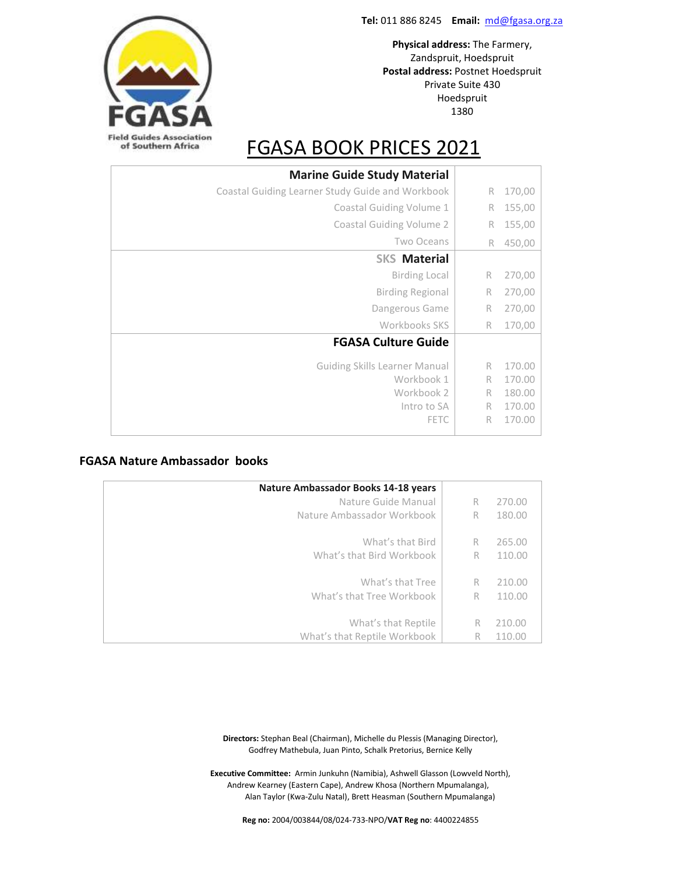

# **Field Guides Association** of Southern Africa

# FGASA BOOK PRICES 2021

| <b>Marine Guide Study Material</b>               |   |        |
|--------------------------------------------------|---|--------|
| Coastal Guiding Learner Study Guide and Workbook | R | 170,00 |
| Coastal Guiding Volume 1                         | R | 155,00 |
| <b>Coastal Guiding Volume 2</b>                  | R | 155,00 |
| Two Oceans                                       | R | 450,00 |
| <b>SKS Material</b>                              |   |        |
| <b>Birding Local</b>                             | R | 270,00 |
| <b>Birding Regional</b>                          | R | 270,00 |
| Dangerous Game                                   | R | 270,00 |
| Workbooks SKS                                    | R | 170,00 |
| <b>FGASA Culture Guide</b>                       |   |        |
| <b>Guiding Skills Learner Manual</b>             | R | 170.00 |
| Workbook 1                                       | R | 170.00 |
| Workbook 2                                       | R | 180.00 |
| Intro to SA                                      | R | 170.00 |
| <b>FETC</b>                                      | R | 170.00 |

## **FGASA Nature Ambassador books**

| Nature Ambassador Books 14-18 years |   |        |
|-------------------------------------|---|--------|
| Nature Guide Manual                 | R | 270.00 |
| Nature Ambassador Workbook          | R | 180.00 |
|                                     |   |        |
| What's that Bird                    | R | 265.00 |
| What's that Bird Workbook           | R | 110.00 |
|                                     |   |        |
| What's that Tree                    | R | 210.00 |
| What's that Tree Workbook           | R | 110.00 |
|                                     |   |        |
| What's that Reptile                 | R | 210.00 |
| What's that Reptile Workbook        | R | 110.00 |

**Directors:** Stephan Beal (Chairman), Michelle du Plessis (Managing Director), Godfrey Mathebula, Juan Pinto, Schalk Pretorius, Bernice Kelly

**Executive Committee:** Armin Junkuhn (Namibia), Ashwell Glasson (Lowveld North), Andrew Kearney (Eastern Cape), Andrew Khosa (Northern Mpumalanga), Alan Taylor (Kwa-Zulu Natal), Brett Heasman (Southern Mpumalanga)